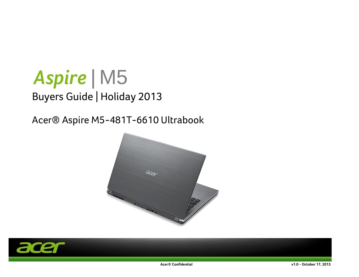# *Aspire |* M5 Buyers Guide | Holiday 2013

## Acer® Aspire M5-481T-6610 Ultrabook



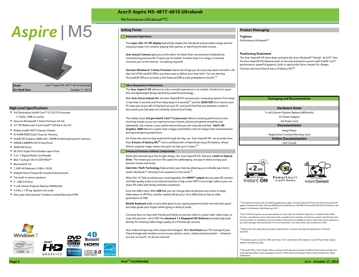# Aspire | M5



#### **High Level Specifications**

- w 3-cell Lithium Polymer Battery (4850mAh) 3rd Generation Intel® Core™ i3-3227U Processor
- 
- 
- 
- ◆ 6144MB DDR3 Dual-Channel Memory examplements are and the contract and optimal gamming capericality. The contract of the contract of the contract of the Registration/ Limited Warranty Card
- ◆ Intel® HD Graphics 4000 with 128MB of dedicated system memory
- 
- ◆ 20GB SSD Drive
- 
- w 2-in-1 Digital Media Card Reader
- w 802.11a/b/g/n Wi-Fi CERTIFIED™
- $\bullet$  Bluetooth® 4.0
- 1.3MP HD Webcam (1280 x 1024)
- ◆ Dolby® Home Theater® v4 audio enhancement
- $\bullet$  Two built-in stereo speakers

Windows<sup>7</sup>

 $(intel)$  inside

CORE 13

- $\bullet$  2 USB 3.0 Ports
- ◆ 3-cell Lithium Polymer Battery (4850mAh)
- $\bullet$  4.3 lbs. | 1.95 kg (system unit only)
- $\bullet$  One-year International Travelers Limited Warranty (ITW)

### **Acer® Aspire M5-481T-6610 Ultrabook** Performance Ultrabook™

#### **1 Awesome Experience Taglines**

The **super slim 14" HD display** beautifully shapes this Ultrabook and provides a large area for enjoying image-rich content, playing killer games, or watching the best movies.

**Acer Instant Connect** gets you to the web in 4x faster than conventional notebooks by remembering previous Wi-Fi spots you've visited! So when they're in range, it instantly connects you to the Internet- no waiting required!

Connect and more than 8 hours of battery life(3)! **Genuine Windows® 7 Home Premium** makes the things you do every day easier and with a 30 day trial of Microsoft® Office you have ways to deliver your best work. You can also buy Microsoft<sup>®</sup> Office to activate a full-featured Office suite preloaded on this PC.<sup>(5)</sup>

#### 2 Ultra-Responsive Performance

The **Acer Aspire® M5** delivers an ultra-smooth experience in an instant, thanks to it's superthin and lightweight design backed by powerful technology.

With **Acer Green Instant On**, the Acer Aspire® M5 resumes your computing session from sleep in less than 2 seconds and from deep sleep in 6 seconds<sup>(1)</sup> and the 20GB SSD drive returns your PC state just as you left it! Pop back on your PC, and you'll find that any websites, emails or documents you had open are instantly restored and ready.

(1.9GHz, 3MB L3 cache) **AC Power Adapter** and the visibly smart **3rd gen Intel® Core™ i3 processor** delivers amazing performance and AC Power Adapter w Genuine Windows® 7 Home Premium 64-bit AC Power Cord stunning visuals so you can experience your movies, photos and games smoothly and **•** 14" HD Widescreen CineCrystal™ LED Back-lit LCD **Documentation** and the seamlessly. Get a boost in your performance that you can truly see and feel. I**ntel's HD ID and Intelligent in the seamlessly.** Get a boost in ◆ Mobile Intel® HM77 Express Chipset **Setup Poster Setup Poster Setup Poster Setup Poster Setup Poster Setup Poster** and optimal gaming experience.

◆ Intel® HD Graphics 4000 with 128MB of dedicated system memory **Activation** For those who want to stay powered through the day, our Acer Aspire® M5 can provide more **Provide more** Online Documentation ◆ 500GB 5400RPM SATA Hard Drive User's Guide User's Guide User's Guide User's Guide User's Guide User's Guide User's Guide User's Guide User's Guide User's Guide User's Guide User's Guide User's Guide User's Guide User's lithium-polymer magic means the pack can last up to 4 years.<sup>(4)</sup>

#### w 8X DVD-Super Multi Double-Layer Drive **3 Enhanced Features without Compromise**

While still maintaining a thin & light design, the Acer Aspire® M5 features a **built-in Optical Drive**. This means you can burn file copies for safekeeping, and pop in disks to enjoy your favorite movies and music.

**Intel Anti-Theft Technology** helps protect your data by allowing you to disable your lost or stolen Ultrabook™ remotely from anywhere in the world.<sup>(2)</sup>

When the 14" fails to satiate your visual appetite, the **HDMI™ output** lets you pipe HD content and high quality audio to an external monitor or big screen HDTV via a single cable so you can share HD video with family members anywhere!

Even the USB is ultra. With **USB 3.0**, you can charge external devices even when in sleep, hibernation or off! Plus, transfer speeds will be up to 10 to 400 times as fast as older generations of USB.

**Backlit Keyboard** adds a cool subtle glow to your typing experience that not only looks good, but helps guide your fingers while typing in dimly lit areas.

Converse face-to-face with friends and family across the miles in crystal-clear video chats, or snap still pictures—all in HD! The **advanced 1.3 Megapixel HD Webcam** provides high pixel density for amazing video image quality at 24 frames per second.

Acer makes things easy with unique technologies! With **AcerCloud** your PCs storage IS your Cloud storage with wireless access to your photos, music, videos and documents -- wherever you are, on any PC, on all your devices!

#### **Selling Points Product Messaging**

Performance Ultrabook™

#### **Positioning Statement**

The Acer Aspire® M5 slims down and joins the Acer Ultrabook™ family! At 0.91" thin, the Acer Aspire® M5 features built-in security and packs a punch with Intel® Core™ performance, powerful graphics, built-in optical disc drive, Instant On, Always



**Hardware Items**



 $^{(1)}$ Time based on testing with the following applications open: Internet Explorer® 9 (Internet search and email web pages), PowerPoint® viewer (file size 68 MB) and Excel® (file size 108 MB) of Microsoft® Office® 2010 Starter, and logged in to Windows Live® Messenger 2011.

 $^{2)}$ (Anti-Theft) No system can provide absolute security under all conditions. Requires an enabled chipset, BIOS, firmware, and software, and a subscription with a capable service provider. Consult your system manufacturer and service provider for availability and functionality. Intel assumes no liability for lost or stolen data and/or systems or any other damages resulting thereof. For more information, visit http://www.intel.com/go/anti-theft.

<sup>(3)</sup> Battery life varies depending on product specifications, computer settings and applications or features launched.

<sup>(4)</sup> The battery pack is rated at 1,000 cycle times. The 4-year battery life is based on use of 8 hours daily 5 days a week for 50 weeks annually

<sup>(5)</sup> Microsoft Office Trial included. After or during the 30-day trial, purchase an Office Product Key to activate one of the following Office suites preloaded on this PC: Office Home and Student, Office Home and Business, Office Professional.

luetooth

10M

USB3.0

MULT